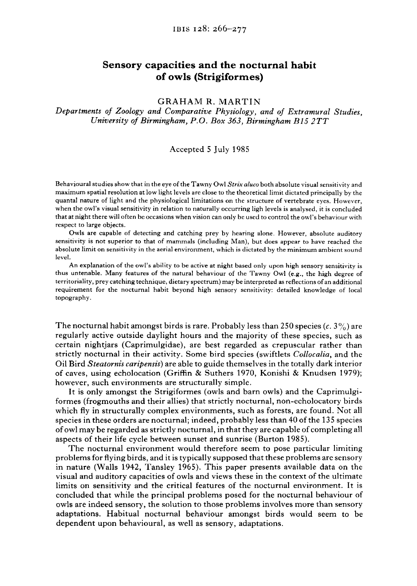# **Sensory capacities and the nocturnal habit of owls (Strigiformes)**

## GRAHAM R. MARTIN

*Departments of Zoology and Comparative Physiology, and of Extramural Studies, University of Birmingham, P.O. Box 363, Birmingham B15 2TT* 

## Accepted **5** July **1985**

Behavioural studies show that in the eye of the Tawny Owl *Strix aluco* both absolute visual sensitivity and maximum spatial resolution at low light levels are close to the theoretical limit dictated principally by the quanta1 nature of light and the physiological limitations on the structure of vertebrate eyes. However, when the owl's visual sensitivity in relation to naturally occurring ligh levels is analysed, it is concluded that at night there will often be occasions when vision can only be used to control the **owl's** behaviour with respect to large objects.

Owls are capable of detecting and catching prey by hearing alone. However, absolute auditory sensitivity is not superior to that of mammals (including Man), but does appear to have reached the absolute limit on sensitivity in the aerial environment, which is dictated by the minimum ambient sound level.

An explanation of the owl's ability to be active at night based only upon high sensory sensitivity is thus untenable. Many features of the natural behaviour of the Tawny Owl (e.g., the high degree of territoriality, prey catching technique, dietary spectrum) may be interpreted as reflections of an additional requirement for the nocturnal habit beyond high sensory sensitivity: detailed knowledge of local topography.

The nocturnal habit amongst birds is rare. Probably less than 250 species  $(c, 3\%)$  are regularly active outside daylight hours and the majority of these species, such as certain nightjars (Caprimulgidae), are best regarded as crepuscular rather than strictly nocturnal in their activity. Some bird species (swiftlets *Collocalia,* and the Oil Bird *Steatornis caripensis)* are able to guide themselves in the totally dark interior of caves, using echolocation (Griffin & Suthers 1970, Konishi & Knudsen 1979); however, such environments are structurally simple.

It is only amongst the Strigiformes (owls and barn owls) and the Caprimulgiformes (frogmouths and their allies) that strictly nocturnal, non-echolocatory birds which fly in structurally complex environments, such as forests, are found. Not all species in these orders are nocturnal; indeed, probably less than 40 of the 135 species of owl may be regarded as strictly nocturnal, in that they are capable of completing all aspects of their life cycle between sunset and sunrise (Burton 1985).

The nocturnal environment would therefore seem to pose particular limiting problems for flying birds, and it is typically supposed that these problems are sensory in nature (Walls 1942, Tansley 1965). This paper presents available data on the visual and auditory capacities of owls and views these in the context of the ultimate limits on sensitivity and the critical features of the nocturnal environment. It is concluded that while the principal problems posed for the nocturnal behaviour of owls are indeed sensory, the solution to those problems involves more than sensory adaptations. Habitual nocturnal behaviour amongst birds would seem to be dependent upon behavioural, as well as sensory, adaptations.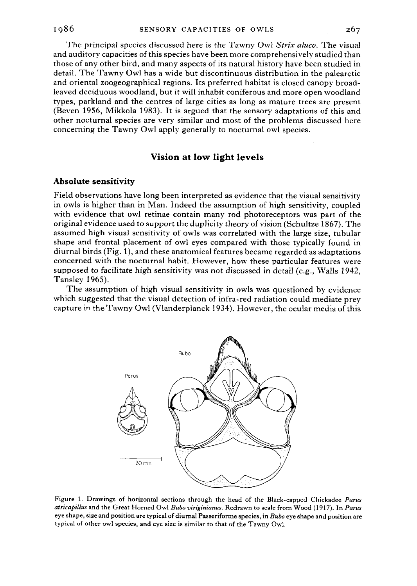The principal species discussed here is the Tawny Owl *Strix aluco.* The visual and auditory capacities of this species have been more comprehensively studied than those of any other bird, and many aspects of its natural history have been studied in detail. The Tawny Owl has a wide but discontinuous distribution in the palearctic and oriental zoogeographical regions. Its preferred habitat **is** closed canopy broadleaved deciduous woodland, but it will inhabit coniferous and more open woodland types, parkland and the centres of large cities as long as mature trees are present (Beven 1956, Mikkola 1983). It is argued that the sensory adaptations of this and other nocturnal species are very similar and most of the problems discussed here concerning the Tawny Owl apply generally to nocturnal owl species.

## **Vision at low light levels**

### **Absolute sensitivity**

Field observations have long been interpreted as evidence that the visual sensitivity in owls is higher than in Man. Indeed the assumption of high sensitivity, coupled with evidence that owl retinae contain many rod photoreceptors was part of the original evidence used to support the duplicity theory of vision (Schultze 1867). The assumed high visual sensitivity of owls was correlated with the large size, tubular shape and frontal placement of owl eyes compared with those typically found in diurnal birds (Fig. l), and these anatomical features became regarded as adaptations concerned with the nocturnal habit. However, how these particular features were supposed to facilitate high sensitivity was not discussed in detail (e.g., Walls 1942, Tansley 1965).

The assumption of high visual sensitivity in owls was questioned by evidence which suggested that the visual detection of infra-red radiation could mediate prey capture in the Tawny Owl (Vlanderpianck 1934). However, the ocular media of this



Figure 1. Drawings of horizontal sections through the head of the Black-capped Chickadee *Parus atricapillus* and the Great Horned Owl *Bubo viriginianus.* Redrawn to scale from Wood (1917). In *Parus*  eye shape, size and position are typical of diurnal Passeriforme species, in *Bubo* eye shape and position are typical of other owl species, and eye size is similar to that of the Tawny Owl.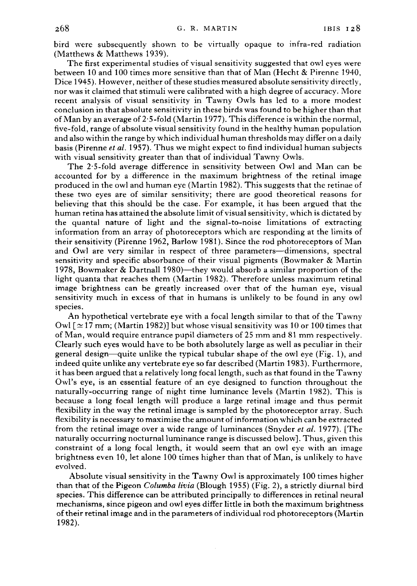bird were subsequently shown to be virtually opaque to infra-red radiation (Matthews & Matthews 1939).

The first experimental studies of visual sensitivity suggested that owl eyes were between 10 and 100 times more sensitive than that of Man (Hecht & Pirenne 1940, Dice 1945). However, neither of these studies measured absolute sensitivity directly, nor was it claimed that stimuli were calibrated with a high degree of accuracy. More recent analysis of visual sensitivity in Tawny Owls has led to a more modest conclusion in that absolute sensitivity in these birds was found to be higher than that of Man by an average of 2.5-fold (Martin 1977). This difference is within the normal, five-fold, range of absolute visual sensitivity found in the healthy human population and also within the range by which individual human thresholds may differ on a daily basis (Pirenne *et al.* 1957). Thus we might expect to find individual human subjects with visual sensitivity greater than that of individual Tawny Owls.

The 2.5-fold average difference in sensitivity between Owl and Man can be accounted for by a difference in the maximum brightness of the retinal image produced in the owl and human eye (Martin 1982). This suggests that the retinae of these two eyes are of similar sensitivity; there are good theoretical reasons for believing that this should be the case. For example, it has been argued that the human retina has attained the absolute limit of visual sensitivity, which is dictated by the quanta1 nature of light and the signal-to-noise limitations of extracting information from an array of photoreceptors which are responding at the limits of their sensitivity (Pirenne 1962, Barlow 1981). Since the rod photoreceptors of Man and Owl are very similar in respect of three parameters-dimensions, spectral sensitivity and specific absorbance of their visual pigments (Bowmaker & Martin 1978, Bowmaker & Dartnall 1980)—they would absorb a similar proportion of the light quanta that reaches them (Martin 1982). Therefore unless maximum retinal image brightness can be greatly increased over that of the human eye, visual sensitivity much in excess of that in humans is unlikely to be found in any owl species.

An hypothetical vertebrate eye with a focal length similar to that of the Tawny Owl  $\lceil \approx 17 \,\text{mm}$ ; (Martin 1982)] but whose visual sensitivity was 10 or 100 times that of Man, would require entrance pupil diameters of **25** mm and 81 mm respectively. Clearly such eyes would have to be both absolutely large as well as peculiar in their general design—quite unlike the typical tubular shape of the owl eye (Fig. 1), and indeed quite unlike any vertebrate eye so far described (Martin 1983). Furthermore, it has been argued that a relatively long focal length, such as that found in the Tawny Owl's eye, is an essential feature of an eye designed to function throughout the naturally-occurring range of night time luminance levels (Martin 1982). This is because a long focal length will produce a large retinal image and thus permit flexibility in the way the retinal image is sampled by the photoreceptor array. Such flexibility is necessary to maximise the amount of information which can be extracted from the retinal image over a wide range of luminances (Snyder *et al.* 1977). [The naturally occurring nocturnal luminance range is discussed below]. Thus, given this constraint of a long focal length, it would seem that an owl eye with an image brightness even 10, let alone 100 times higher than that of Man, is unlikely to have evolved.

Absolute visual sensitivity in the Tawny Owl is approximately 100 times higher than that of the Pigeon *Calumba livia* (Blough 1955) (Fig. 2), a strictly diurnal bird species. This difference can be attributed principally to differences in retinal neural mechanisms, since pigeon and owl eyes differ little in both the maximum brightness of their retinal image and in the parameters of individual rod photoreceptors (Martin 1982).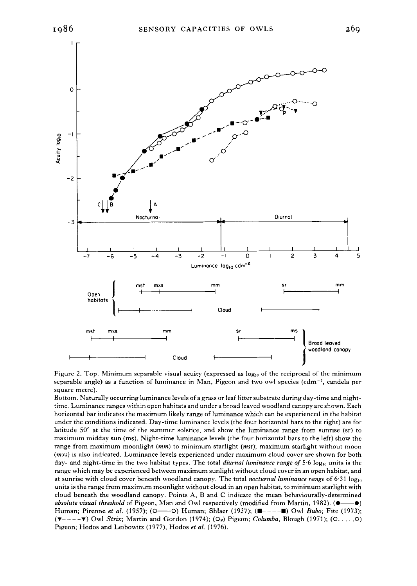

Figure 2. Top. Minimum separable visual acuity (expressed as log<sub>10</sub> of the reciprocal of the minimum separable angle) as a function of luminance in Man, Pigeon and two owl species (cdm<sup>-2</sup>, candela per square metre).

Bottom. Naturally occurring luminance levels of a grass or leaf litter substrate during day-time and nighttime. Luminance ranges within open habitats and under a broad leaved woodland canopy are shown. Each horizontal bar indicates the maximum likely range of luminance which can be experienced in the habitat under the conditions indicated. Day-time luminance levels (the four horizontal bars to the right) are for latitude 50" at the time of the summer solstice, and show the luminance range from sunrise **(sr)** to maximum midday sun (ms). Night-time luminance levels (the four horizontal bars to the left) show the range from maximum moonlight *(mm)* to minimum starlight *(mst);* maximum starlight without moon *(mxs)* is also indicated. Luminance levels experienced under maximum cloud cover are shown for both day- and night-time in the two habitat types. The total *diurnal luminance range* of 5.6 log,, units is the range which may be experienced between maximum sunlight without cloud cover in an open habitat, and at sunrise with cloud cover beneath woodland canopy. The total *nocturnal luminance range* of 6.31  $log_{10}$ units is the range from maximum moonlight without cloud in an open habitat, to minimum starlight with cloud beneath the woodland canopy. Points **A,** B and *C* indicate the mean behaviourally-determined *absolute visual threshold* of Pigeon, Man and Owl respectively (modified from Martin, 1982).  $($   $\bullet$   $\bullet$ Human; Pirenne et al. (1957); (O—0) Human; Shlaer (1937); ( $\blacksquare$ --- $\blacksquare$ ) Owl *Bubo*; Fite (1973); **(V----V)** Owl *Strix;* Martin and Gordon (1974); (Op) Pigeon; *Columba,* Blough (1971); *(0..* . , .O) Pigeon; Hodos and Leibowitz (1977). Hodos *et al.* (1976).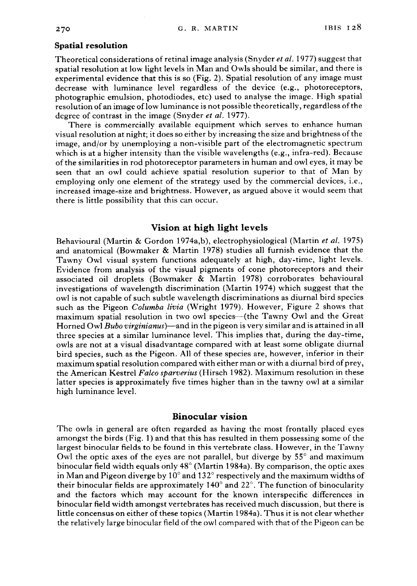#### **Spatial resolution**

Theoretical considerations of retinal image analysis (Snyder *et al.* 1977) suggest that spatial resolution at low light levels in Man and Owls should be similar, and there is experimental evidence that this is so (Fig. 2). Spatial resolution of any image must decrease with luminance level regardless of the device (e.g., photoreceptors, photographic emulsion, photodiodes, etc) used to analyse the image. High spatial resolution of an image of low luminance is not possible theoretically, regardless of the degree of contrast in the image (Snyder *et al.* 1977).

There is commercially available equipment which serves to enhance human visual resolution at night; it does so either by increasing the size and brightness of the image, and/or by unemploying a non-visible part of the electromagnetic spectrum which is at a higher intensity than the visible wavelengths **(e.g.,** infra-red). Because of the similarities in rod photoreceptor parameters in human and owl eyes, it may be seen that an owl could achieve spatial resolution superior to that of Man by employing only one element of the strategy used by the commercial devices, i.e., increased image-size and brightness. However, as argued above it would seem that there is little possibility that this can occur.

## **Vision at high light levels**

Behavioural (Martin & Gordon 1974a,b), electrophysiological (Martin *et al.* 1975) and anatomical (Bowmaker & Martin 1978) studies all furnish evidence that the Tawny Owl visual system functions adequately at high, day-time, light levels. Evidence from analysis of the visual pigments of cone photoreceptors and their associated oil droplets (Bowmaker & Martin 1978) corroborates behavioural investigations of wavelength discrimination (Martin 1974) which suggest that the owl is not capable of such subtle wavelength discriminations as diurnal bird species such as the Pigeon *Colurnba* livia (Wright 1979). However, Figure 2 shows that maximum spatial resolution in two owl species-(the Tawny Owl and the Great Horned Owl *Bubo virginianus*)—and in the pigeon is very similar and is attained in all three species at a similar luminance level. This implies that, during the day-time, owls are not at a visual disadvantage compared with at least some obligate diurnal bird species, such as the Pigeon. All of these species are, however, inferior in their maximum spatial resolution compared with either man or with a diurnal bird of prey, the American Kestrel *Falco sparvevius* (Hirsch 1982). Maximum resolution in these latter species is approximately five times higher than in the tawny owl at a similar high luminance level.

### **Binocular vision**

The owls in general are often regarded as having the most frontally placed eyes amongst the birds (Fig. 1) and that this has resulted in them possessing some of the largest binocular fields to be found in this vertebrate class. However, in the Tawny Owl the optic axes of the eyes are not parallel, but diverge by *55"* and maximum binocular field width equals only 48" (Martin 1984a). By comparison, the optic axes in Man and Pigeon diverge by  $10^{\circ}$  and  $132^{\circ}$  respectively and the maximum widths of their binocular fields are approximately  $140^{\circ}$  and  $22^{\circ}$ . The function of binocularity and the factors which may account for the known interspecific differences in binocular field width amongst vertebrates has received much discussion, but there is little concensus on either of these topics (Martin 1984a). Thus it is not clear whether the relatively large binocular field of the owl compared with that of the Pigeon can be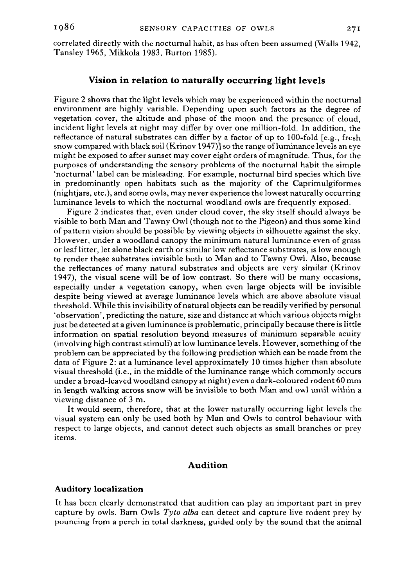correlated directly with the nocturnal habit, as has often been assumed (Walls 1942, Tansley 1965, Mikkola 1983, Burton 1985).

## **Vision in relation to naturally occurring light levels**

Figure **2** shows that the light levels which may be experienced within the nocturnal environment are highly variable. Depending upon such factors as the degree of vegetation cover, the altitude and phase of the moon and the presence of cloud, incident light levels at night may differ by over one million-fold. In addition, the reflectance of natural substrates can differ by a factor of up to 100-fold [e.g., fresh snow compared with black soil (Krinov 1947)] *so* the range of luminance levels an eye might be exposed to after sunset may cover eight orders of magnitude. Thus, for the purposes of understanding the sensory problems of the nocturnal habit the simple 'nocturnal' label can be misleading. For example, nocturnal bird species which live in predominantly open habitats such as the majority of the Caprimulgiformes (nightjars, etc.), and some owls, may never experience the lowest naturally occurring luminance levels to which the nocturnal woodland owls are frequently exposed.

Figure **2** indicates that, even under cloud cover, the sky itself should always be visible to both Man and Tawny Owl (though not to the Pigeon) and thus some kind of pattern vision should be possible by viewing objects in silhouette against the sky. However, under a woodland canopy the minimum natural luminance even of grass or leaf litter, let alone black earth or similar low reflectance substrates, is low enough to render these substrates invisible both to Man and to Tawny Owl. **Also,** because the reflectances of many natural substrates and objects are very similar (Krinov 1947), the visual scene will be of low contrast. So there will be many occasions, especially under a vegetation canopy, when even large objects will be invisible despite being viewed at average luminance levels which are above absolute visual threshold. While this invisibility of natural objects can be readily verified by personal 'observation', predicting the nature, size and distance at which various objects might just be detected at a given luminance is problematic, principally because there is little information on spatial resolution beyond measures of minimum separable acuity (involving high contrast stimuli) at low luminance levels. However, something of the problem can be appreciated by the following prediction which can be made from the data of Figure 2: at a luminance level approximately 10 times higher than absolute visual threshold (i.e., in the middle of the luminance range which commonly occurs under a broad-leaved woodland canopy at night) even a dark-coloured rodent 60 mm in length walking across snow will be invisible to both Man and **owl** until within a viewing distance of **3** m.

It would seem, therefore, that at the lower naturally occurring light levels the visual system can only be used both by Man and Owls to control behaviour with respect to large objects, and cannot detect such objects as small branches or prey items.

# **Audition**

### **Auditory localization**

It has been clearly demonstrated that audition can play an important part in prey capture by owls. Barn Owls *Tyto alba* can detect and capture live rodent prey by pouncing from a perch in total darkness, guided only by the sound that the animal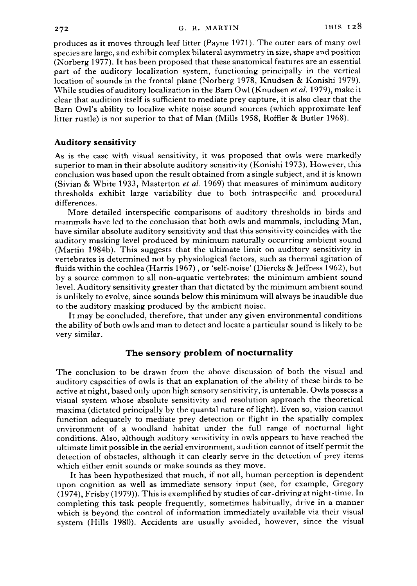produces as it moves through leaf litter (Payne 1971). The outer ears of many owl species are large, and exhibit complex bilateral asymmetry in size, shape and position (Norberg 1977). It has been proposed that these anatomical features are an essential part of the auditory localization system, functioning principally in the vertical location of sounds in the frontal plane (Norberg 1978, Knudsen & Konishi 1979). While studies of auditory localization in the Barn Owl (Knudsen *et al.* 1979), make it clear that audition itself is sufficient to mediate prey capture, it is also clear that the Barn Owl's ability to localize white noise sound sources (which approximate leaf litter rustle) is not superior to that of Man (Mills 1958, Roffler & Butler 1968).

### **Auditory sensitivity**

**As is** the case with visual sensitivity, it was proposed that owls were markedly superior to man in their absolute auditory sensitivity (Konishi 1973). However, this conclusion was based upon the result obtained from a single subject, and it is known (Sivian & White 1933, Masterton *et al.* 1969) that measures of minimum auditory thresholds exhibit large variability due to both intraspecific and procedural differences.

More detailed interspecific comparisons of auditory thresholds in birds and mammals have led to the conclusion that both owls and mammals, including Man, have similar absolute auditory sensitivity and that this sensitivity coincides with the auditory masking level produced by minimum naturally occurring ambient sound (Martin 1984b). This suggests that the ultimate limit on auditory sensitivity in vertebrates **is** determined not by physiological factors, such as thermal agitation of fluids within the cochlea (Harris 1967) , or 'self-noise' (Diercks & Jeffress 1962), but by a source common to all non-aquatic vertebrates: the minimum ambient sound level. Auditory sensitivity greater than that dictated by the minimum ambient sound is unlikely to evolve, since sounds below this minimum will always be inaudible due to the auditory masking produced by the ambient noise.

It may be concluded, therefore, that under any given environmental conditions the ability of both owls and man to detect and locate a particular sound is likely to be very similar.

## **The sensory problem of nocturnality**

The conclusion to be drawn from the above discussion of both the visual and auditory capacities of owls is that an explanation of the ability of these birds to be active at night, based only upon high sensory sensitivity, is untenable. Owls possess a visual system whose absolute sensitivity and resolution approach the theoretical maxima (dictated principally by the quanta1 nature of light). Even *so,* vision cannot function adequately to mediate prey detection or flight in the spatially complex environment of a woodland habitat under the full range of nocturnal light conditions. Also, although auditory sensitivity in owls appears to have reached the ultimate limit possible in the aerial environment, audition cannot of itself permit the detection of obstacles, although it can clearly serve in the detection of prey items which either emit sounds or make sounds as they move.

It has been hypothesized that much, if not all, human perception is dependent upon cognition as well as immediate sensory input (see, for example, Gregory (1974), Frisby (1979)). This is exemplified by studies of car-driving at night-time. In completing this task people frequently, sometimes habitually, drive in a manner which is beyond the control of information immediately available via their visual system (Hills 1980). Accidents are usually avoided, however, since the visual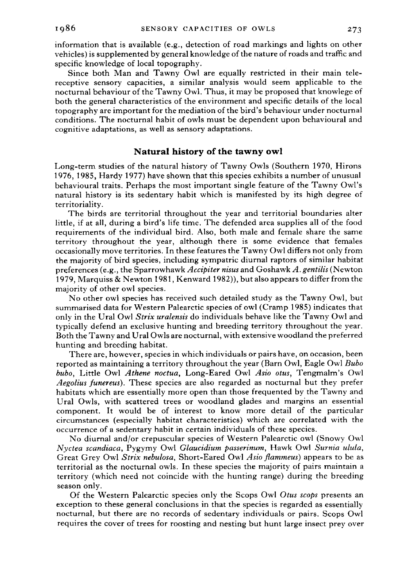information that is available (e.g., detection of road markings and lights on other vehicles) is supplemented by general knowledge of the nature of roads and traffic and specific knowledge of local topography.

Since both Man and Tawny Owl are equally restricted in their main telereceptive sensory capacities, a similar analysis would seem applicable to the nocturnal behaviour of the Tawny Owl. Thus, it may be proposed that knowlege of both the general characteristics of the environment and specific details of the local topography are important for the mediation of the bird's behaviour under nocturnal conditions. The nocturnal habit of owls must be dependent upon behavioural and cognitive adaptations, as well as sensory adaptations.

## **Natural history of the tawny owl**

Long-term studies of the natural history of Tawny Owls (Southern 1970, Hirons 1976, 1985, Hardy 1977) have shown that this species exhibits a number of unusual behavioural traits. Perhaps the most important single feature of the Tawny Owl's natural history is its sedentary habit which is manifested by its high degree of territoriality.

The birds are territorial throughout the year and territorial boundaries alter little, if at all, during a bird's life time. The defended area supplies all of the food requirements of the individual bird. Also, both male and female share the same territory throughout the year, although there is some evidence that females occasionally move territories. In these features the Tawny Owl differs not only from the majority of bird species, including sympatric diurnal raptors of similar habitat preferences (e.g., the Sparrowhawk *Accipiter nisus* and Goshawk *A. gentilis* (Newton 1979, Marquiss & Newton 1981, Kenward 1982)), but also appears to differ from the majority of other owl species.

No other owl species has received such detailed study as the Tawny Owl, but summarised data for Western Palearctic species of owl (Cramp 1985) indicates that only in the Ural Owl *Strix uralensis* do individuals behave like the Tawny Owl and typically defend an exclusive hunting and breeding territory throughout the year. Both the Tawny and Ural Owls are nocturnal, with extensive woodland the preferred hunting and breeding habitat.

There are, however, species in which individuals or pairs have, on occasion, been reported as maintaining a territory throughout the year (Barn Owl, Eagle Owl *Bubo bubo,* Little Owl *Athene noctua,* Long-Eared Owl *Asio otus,* Tengmalm's Owl *Aegolius funereus).* These species are also regarded as nocturnal but they prefer habitats which are essentially more open than those frequented by the Tawny and Ural Owls, with scattered trees or woodland glades and margins an essential component. It would be of interest to know more detail of the particular circumstances (especially habitat characteristics) which are correlated with the occurrence of a sedentary habit in certain individuals of these species.

No diurnal and/or crepuscular species of Western Palearctic owl (Snowy Owl *Nyctea scandiaca,* Pygymy Owl *Glaucidium passerinurn,* Hawk Owl *Surnia ulula,*  Great Grey Owl *Strix nebulosa,* Short-Eared Owl *Asio flarnrneus)* appears to be as territorial as the nocturnal owls. In these species the majority of pairs maintain a territory (which need not coincide with the hunting range) during the breeding season only.

Of the Western Palearctic species only the Scops Owl *Otus scops* presents an exception to these general conclusions in that the species is regarded as essentially nocturnal, but there are no records of sedentary individuals or pairs. Scops Owl requires the cover of trees for roosting and nesting but hunt large insect prey over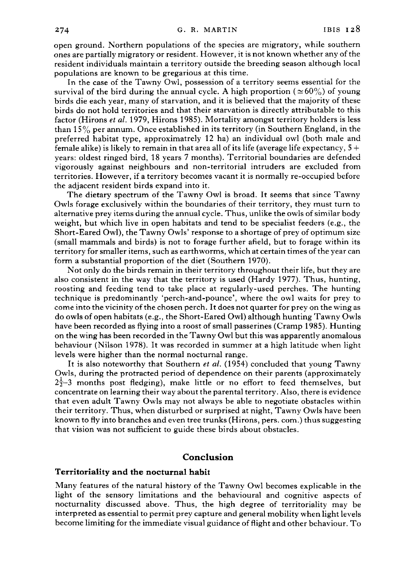open ground. Northern populations of the species are migratory, while southern ones are partially migratory or resident. However, it is not known whether any of the resident individuals maintain a territory outside the breeding season although local populations are known to be gregarious at this time.

In the case of the Tawny Owl, possession of a territory seems essential for the survival of the bird during the annual cycle. A high proportion  $(\simeq 60\%)$  of young birds die each year, many of starvation, and it is believed that the majority of these birds do not hold territories and that their starvation is directly attributable to this factor (Hirons *et* **al. 1979,** Hirons **1985).** Mortality amongst territory holders is less than **15%** per annum. Once established in its territory (in Southern England, in the preferred habitat type, approximatrely 12 ha) an individual owl (both male and female alike) is likely to remain in that area all of its life (average life expectancy, **5** + years: oldest ringed bird, **18** years **7** months). Territorial boundaries are defended vigorously against neighbours and non-territorial intruders are excluded from territories. However, if a territory becomes vacant it is normally re-occupied before the adjacent resident birds expand into it.

The dietary spectrum of the Tawny Owl is broad. It seems that since Tawny Owls forage exclusively within the boundaries of their territory, they must turn to alternative prey items during the annual cycle. Thus, unlike the owls of similar body weight, but which live in open habitats and tend to be specialist feeders (e.g., the Short-Eared Owl), the Tawny Owls' response to a shortage of prey of optimum size (small mammals and birds) is not to forage further afield, but to forage within its territory for smaller items, such as earthworms, which at certain times of the year can form a substantial proportion of the diet (Southern **1970).** 

Not only do the birds remain in their territory throughout their life, but they are also consistent in the way that the territory is used (Hardy **1977).** Thus, hunting, roosting and feeding tend to take place at regularly-used perches. The hunting technique is predominantly 'perch-and-pounce', where the owl waits for prey to come into the vicinity of the chosen perch. It does not quarter for prey on the wing as do owls of open habitats (e.g., the Short-Eared Owl) although hunting Tawny Owls have been recorded as flying into a roost of small passerines (Cramp **1985).** Hunting on the wing has been recorded in the Tawny Owl but this was apparently anomalous behaviour (Nilson **1978).** It was recorded in summer at a high latitude when light levels were higher than the normal nocturnal range.

It is also noteworthy that Southern **et al. (1954)** concluded that young Tawny Owls, during the protracted period of dependence on their parents (approximately  $2\frac{1}{2}$ -3 months post fledging), make little or no effort to feed themselves, but concentrate on learning their way about the parental territory. Also, there is evidence that even adult Tawny Owls may not always be able to negotiate obstacles within their territory. Thus, when disturbed or surprised at night, Tawny Owls have been known to fly into branches and even tree trunks (Hirons, pers. com.) thus suggesting that vision was not sufficient to guide these birds about obstacles.

# **Conclusion**

### **Territoriality and the nocturnal habit**

Many features of the natural history of the Tawny Owl becomes explicable in the light of the sensory limitations and the behavioural and cognitive aspects of nocturnality discussed above. Thus, the high degree of territoriality may be interpreted as essential to permit prey capture and general mobility when light levels become limiting for the immediate visual guidance of flight and other behaviour. To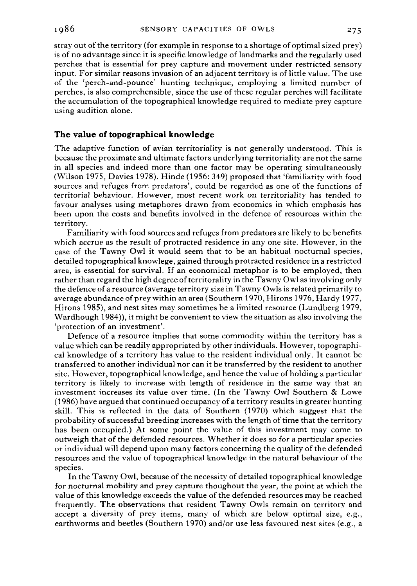stray out of the territory (for example in response to a shortage of optimal sized prey) is of no advantage since it is specific knowledge of landmarks and the regularly used perches that is essential for prey capture and movement under restricted sensory input. For similar reasons invasion of an adjacent territory is of little value. The use of the 'perch-and-pounce' hunting technique, employing a limited number of perches, is also comprehensible, since the use of these regular perches will facilitate the accumulation of the topographical knowledge required to mediate prey capture using audition alone.

### **The value of topographical knowledge**

The adaptive function of avian territoriality is not generally understood, This is because the proximate and ultimate factors underlying territoriality are not the same in all species and indeed more than one factor may be operating simultaneously (Wilson 1975, Davies 1978). Hinde (1956: 349) proposed that 'familiarity with food sources and refuges from predators', could be regarded **as** one of the functions of territorial behaviour. However, most recent work on territoriality has tended to favour analyses using metaphores drawn from economics in which emphasis has been upon the costs and benefits involved in the defence of resources within the territory.

Familiarity with food sources and refuges from predators are likely to be benefits which accrue as the result of protracted residence in any one site. However, in the case of the Tawny Owl it would seem that to be an habitual nocturnal species, detailed topographical knowlege, gained through protracted residence in a restricted area, is essential for survival. If an economical metaphor is to be employed, then rather than regard the high degree of territorality in the Tawny Owl as involving only the defence of a resource (average territory size in Tawny Owls is related primarily to average abundance of prey within an area (Southern 1970, Hirons 1976, Hardy 1977, Hirons 1985), and nest sites may sometimes be a limited resource (Lundberg 1979, Wardhough 1984)), it might be convenient to view the situation as also involving the 'protection of an investment'.

Defence of a resource implies that some commodity within the territory has a value which can be readily appropriated by other individuals. However, topographical knowledge of a territory has value to the resident individual only. It cannot be transferred to another individual nor can it be transferred by the resident to another site. However, topographical knowledge, and hence the value of holding a particular territory is likely to increase with length of residence in the same way that an investment increases its value over time. (In the Tawny Owl Southern & Lowe (1 986) have argued that continued occupancy of a territory results in greater hunting skill. This **is** reflected in the data of Southern (1970) which suggest that the probability of successful breeding increases with the length of time that the territory has been occupied.) At some point the value of this investment may come to outweigh that of the defended resources. Whether it does so for a particular species or individual will depend upon many factors concerning the quality of the defended resources and the value of topographical knowledge in the natural behaviour of the species.

In the Tawny Owl, because of the necessity of detailed topographical knowledge for nocturnal mobility and prey capture thoughout the year, the point at which the value of this knowledge exceeds the value of the defended resources may be reached frequently. The observations that resident Tawny Owls remain on territory and accept a diversity of prey items, many of which are below optimal size, e.g., earthworms and beetles (Southern 1970) and/or use less favoured nest sites (e.g., a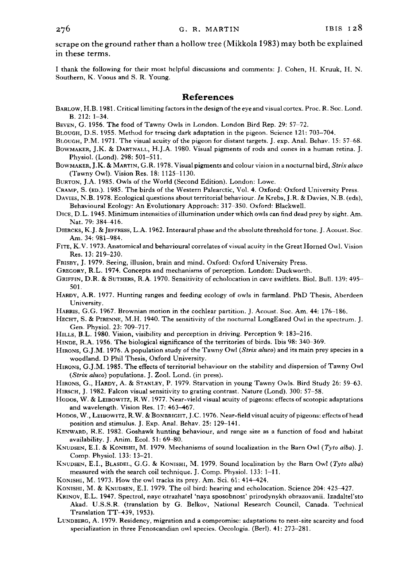scrape on the ground rather than a hollow **tree** (Mikkola 1983) may both be explained in **these** terms.

I thank the following for their most helpful discussions and comments: J. Cohen, H. Kruuk, H. N. Southern, K. Voous and S. R. Young.

### **References**

- BARLOW, H.B. 1981. Critical limiting factors in the design of the eye and visual cortex. Proc. R. Soc. Lond. B. **212: 1-34.**
- BEVEN, G. **1956.** The food of Tawny Owls in London. London Bird Rep. **29: 57-72.**
- BLOUGH, D.S. **1955.** Method for tracing dark adaptation in the pigeon. Science **121: 703-704.**
- **BLOUGH,** P.M. **1971,** The visual acuity of the pigeon for distant targets. J. exp. Anal. Behav. **15: 57-68.**
- BOWMAKER, J.K. & DARTNALL, H.J.A. **1980.** Visual pigments of rods and cones in a human retina. J. Physiol. (Lond). **298: 501-511.**
- BOWMAKER, J.K. &MARTIN, G.R. **1978.** Visual pigments and colour vision in a nocturnal bird, *Strix* aluco (Tawny Owl). Vision Res. 18: **1125-1 130.**
- BURTON, J.A. **1985.** Owls of the World (Second Edition). London: Lowe.
- CRAMP, S. (ED.). **1985.** The birds of the Western Palearctic, Vol. **4.** Oxford: Oxford University Press.
- DAVIES, N.B. **1978.** Ecological questions about territorial behaviour. *In* Krebs, J.R. & Davies, N.B. (eds), Behavioural Ecology: An Evolutionary Approach: **31 7-350.** Oxford: Blackwell.
- DICE, D.L. **1945.** Minimum intensities of illumination under which owls can find dead prey by sight. Am. Nat. **79: 384416.**
- DIERCKS, K. J. & JEFFRESS, L.A. **1962.** Interaural phase and the absolute threshold for tone. J. Acoust. SOC. Am. **34: 981-984.**
- FITE, K.V. **1973.** Anatomical and behavioural correlates of visual acuity in the Great Horned Owl. Vision Res. **13: 219-230.**
- FRISBY, J. **1979.** Seeing, illusion, brain and mind. Oxford: Oxford University Press.
- GREGORY, R.L. **1974.** Concepts and mechanisms of perception. London: Duckworth.
- GRIFFIN, D.R. & SUTHERS, R.A. **1970.** Sensitivity of echolocation in cave swiftlets. Biol. Bull. **139: 495- 501.**
- HARDY, A.R. **1977.** Hunting ranges and feeding ecology of owls in farmland. PhD Thesis, Aberdeen University.
- HARRIS, G.G. **1967.** Brownian motion in the cochlear partition. J. Acoust. SOC. Am. **44: 176-186.**
- HECHT, S. & PIRENNE, M.H. **1940.** The sensitivity of the nocturnal LongEared Owl in the spectrum. J. Gen. Physiol. **23: 709-717.**
- HILLS, B.L. **1980.** Vision, visibility and perception in driving. Perception **9: 183-216.**
- HINDE, R.A. 1956. The biological significance of the territories of birds. Ibis 98: 340-369.
- HIRONS, G.J.M. **1976.** A population study of the Tawny Owl *(Stvzx* aluco) and its main prey species in a woodland. D Phil Thesis, Oxford University.
- HIRONS, G.J.M. **1985.** The effects of territorial behaviour on the stability and dispersion of Tawny Owl *(Stiix* aluco) populations. J. **2001.** Lond. (in press).
- HIRONS, G., HARDY, A. & STANLEY, P. **1979.** Starvation in young Tawny Owls. Bird Study **26: 59-63.**
- HIRSCH, J. **1982.** Falcon visual sensitivity to grating contrast. Nature (Lond). **300: 57-58.**
- HODOS, **W.** & LEIBOWITZ, R.W. **1977.** Near-vield visual acuity of pigeons: effects of scotopic adaptations and wavelength. Vision Res. 17: 463-467.
- **HODOS,** W., LEIBOWITZ, R.W. & BONBRIGHT, J.C. **1976.** Near-field visual acuityof pigeons: effects ofhead position and stimulus. J. Exp. Anal. Behav. **25: 129-141.**
- KENWARD, R.E. **1982.** Goshawk hunting behaviour, and range size as a function of food and habitat availability. J. Anim. Ecol. **51: 69-80.**
- KNUDSEN, E.I. & KONISHI, M. **1979.** Mechanisms of sound localization in the Barn Owl (Tyto alba). J. Comp. Physiol. **133: 13-21.**
- KNUDSEN, E.I., BLASDEL, G.G. & KONISHI, M. **1979.** Sound localization by the Barn Owl (Tyto alba) measured with the search coil technique. J. Comp. Physiol. **133: 1-11.**
- KONISHI, M. **1973.** How the owl tracks its prey. Am. Sci. **61: 414424.**
- KONISHI, M. & KNUDSEN, E.I. 1979. The oil bird: hearing and echolocation. Science 204: 425-427.
- KRINOV, E.L. **1947.** Spectrol, naye otrazhatel 'naya sposobnost' prirodynykh obrazovanii. Izadaltel'sto Akad. U.S.S.R. (translation by G. Belkov, National Research Council, Canada. Technical Translation **TT-439, 1953).**
- LUNDBERG, A. **1979.** Residency, migration and a compromise: adaptations to nest-site scarcity and food specialization in three Fenoscandian owl species. Oecologia. (Berl). **41: 273-281.**